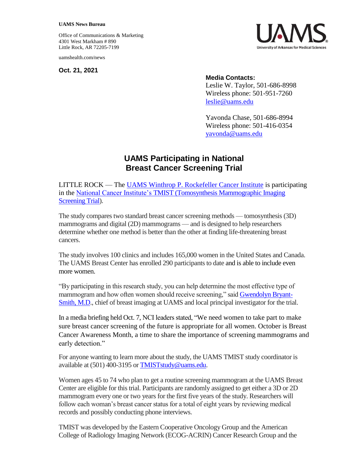Office of Communications & Marketing 4301 West Markham # 890 Little Rock, AR 72205-7199

uamshealth.com/news

**Oct. 21, 2021**



## **Media Contacts:**

Leslie W. Taylor, 501-686-8998 Wireless phone: 501-951-7260 [leslie@uams.edu](mailto:leslie@uams.edu)

Yavonda Chase, 501-686-8994 Wireless phone: 501-416-0354 [yavonda@uams.edu](mailto:yavonda@uams.edu)

## **UAMS Participating in National Breast Cancer Screening Trial**

LITTLE ROCK — The [UAMS Winthrop P. Rockefeller Cancer Institute](https://cancer.uams.edu/) is participating in the [National Cancer Institute's TMIST \(Tomosynthesis Mammographic Imaging](https://www.cancer.gov/about-cancer/treatment/clinical-trials/nci-supported/tmist)  [Screening Trial\)](https://www.cancer.gov/about-cancer/treatment/clinical-trials/nci-supported/tmist).

The study compares two standard breast cancer screening methods — tomosynthesis (3D) mammograms and digital (2D) mammograms — and is designed to help researchers determine whether one method is better than the other at finding life-threatening breast cancers.

The study involves 100 clinics and includes 165,000 women in the United States and Canada. The UAMS Breast Center has enrolled 290 participants to date and is able to include even more women.

"By participating in this research study, you can help determine the most effective type of mammogram and how often women should receive screening," said [Gwendolyn Bryant-](https://uamshealth.com/provider/gwendolyn-m-bryant-smith/)[Smith, M.D.](https://uamshealth.com/provider/gwendolyn-m-bryant-smith/), chief of breast imaging at UAMS and local principal investigator for the trial.

In a media briefing held Oct. 7, NCI leaders stated, "We need women to take part to make sure breast cancer screening of the future is appropriate for all women. October is Breast Cancer Awareness Month, a time to share the importance of screening mammograms and early detection."

For anyone wanting to learn more about the study, the UAMS TMIST study coordinator is available at (501) 400-3195 o[r TMISTstudy@uams.edu.](mailto:TMISTstudy@uams.edu)

Women ages 45 to 74 who plan to get a routine screening mammogram at the UAMS Breast Center are eligible for this trial. Participants are randomly assigned to get either a 3D or 2D mammogram every one or two years for the first five years of the study. Researchers will follow each woman's breast cancer status for a total of eight years by reviewing medical records and possibly conducting phone interviews.

TMIST was developed by the Eastern Cooperative Oncology Group and the American College of Radiology Imaging Network (ECOG-ACRIN) Cancer Research Group and the